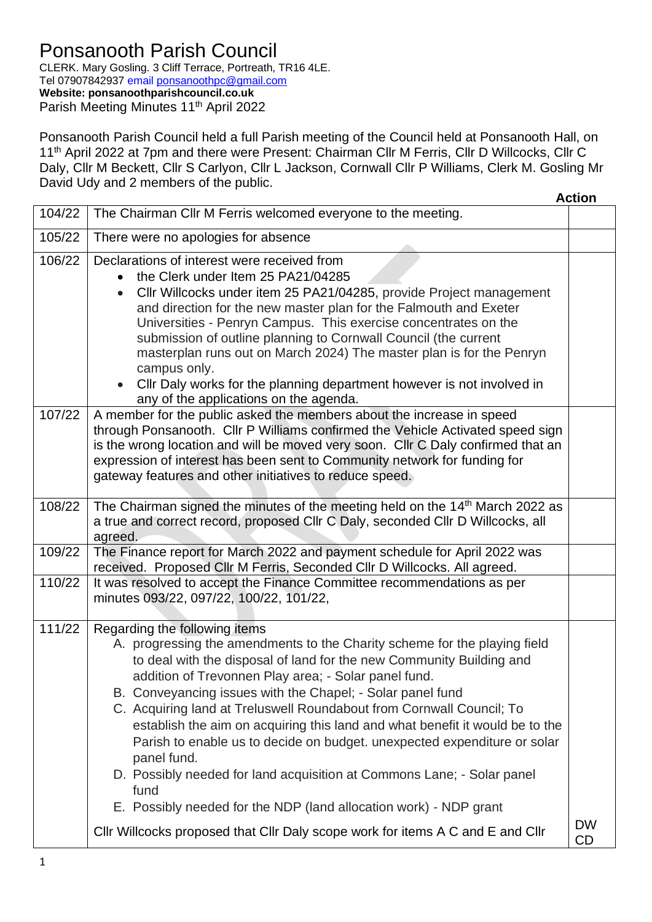## Ponsanooth Parish Council

CLERK. Mary Gosling. 3 Cliff Terrace, Portreath, TR16 4LE. Tel 07907842937 email [ponsanoothpc@gmail.com](mailto:ponsanoothpc@gmail.com) **Website: ponsanoothparishcouncil.co.uk** Parish Meeting Minutes 11<sup>th</sup> April 2022

Ponsanooth Parish Council held a full Parish meeting of the Council held at Ponsanooth Hall, on 11<sup>th</sup> April 2022 at 7pm and there were Present: Chairman Cllr M Ferris, Cllr D Willcocks, Cllr C Daly, Cllr M Beckett, Cllr S Carlyon, Cllr L Jackson, Cornwall Cllr P Williams, Clerk M. Gosling Mr David Udy and 2 members of the public.

|        |                                                                                                                                                                                                                                                                                                                                                                                                                                                                                                                                                                                                                                                                                                                                                                                                      | <b>Action</b> |
|--------|------------------------------------------------------------------------------------------------------------------------------------------------------------------------------------------------------------------------------------------------------------------------------------------------------------------------------------------------------------------------------------------------------------------------------------------------------------------------------------------------------------------------------------------------------------------------------------------------------------------------------------------------------------------------------------------------------------------------------------------------------------------------------------------------------|---------------|
| 104/22 | The Chairman Cllr M Ferris welcomed everyone to the meeting.                                                                                                                                                                                                                                                                                                                                                                                                                                                                                                                                                                                                                                                                                                                                         |               |
| 105/22 | There were no apologies for absence                                                                                                                                                                                                                                                                                                                                                                                                                                                                                                                                                                                                                                                                                                                                                                  |               |
| 106/22 | Declarations of interest were received from<br>the Clerk under Item 25 PA21/04285<br>$\bullet$<br>Cllr Willcocks under item 25 PA21/04285, provide Project management<br>$\bullet$<br>and direction for the new master plan for the Falmouth and Exeter<br>Universities - Penryn Campus. This exercise concentrates on the<br>submission of outline planning to Cornwall Council (the current<br>masterplan runs out on March 2024) The master plan is for the Penryn<br>campus only.<br>Cllr Daly works for the planning department however is not involved in<br>any of the applications on the agenda.                                                                                                                                                                                            |               |
| 107/22 | A member for the public asked the members about the increase in speed<br>through Ponsanooth. Cllr P Williams confirmed the Vehicle Activated speed sign<br>is the wrong location and will be moved very soon. Cllr C Daly confirmed that an<br>expression of interest has been sent to Community network for funding for<br>gateway features and other initiatives to reduce speed.                                                                                                                                                                                                                                                                                                                                                                                                                  |               |
| 108/22 | The Chairman signed the minutes of the meeting held on the 14 <sup>th</sup> March 2022 as<br>a true and correct record, proposed Cllr C Daly, seconded Cllr D Willcocks, all<br>agreed.                                                                                                                                                                                                                                                                                                                                                                                                                                                                                                                                                                                                              |               |
| 109/22 | The Finance report for March 2022 and payment schedule for April 2022 was<br>received. Proposed Cllr M Ferris, Seconded Cllr D Willcocks. All agreed.                                                                                                                                                                                                                                                                                                                                                                                                                                                                                                                                                                                                                                                |               |
| 110/22 | It was resolved to accept the Finance Committee recommendations as per<br>minutes 093/22, 097/22, 100/22, 101/22,                                                                                                                                                                                                                                                                                                                                                                                                                                                                                                                                                                                                                                                                                    |               |
| 111/22 | Regarding the following items<br>A. progressing the amendments to the Charity scheme for the playing field<br>to deal with the disposal of land for the new Community Building and<br>addition of Trevonnen Play area; - Solar panel fund.<br>B. Conveyancing issues with the Chapel; - Solar panel fund<br>C. Acquiring land at Treluswell Roundabout from Cornwall Council; To<br>establish the aim on acquiring this land and what benefit it would be to the<br>Parish to enable us to decide on budget. unexpected expenditure or solar<br>panel fund.<br>D. Possibly needed for land acquisition at Commons Lane; - Solar panel<br>fund<br>E. Possibly needed for the NDP (land allocation work) - NDP grant<br>CIIr Willcocks proposed that CIIr Daly scope work for items A C and E and CIIr | <b>DW</b>     |
|        |                                                                                                                                                                                                                                                                                                                                                                                                                                                                                                                                                                                                                                                                                                                                                                                                      | <b>CD</b>     |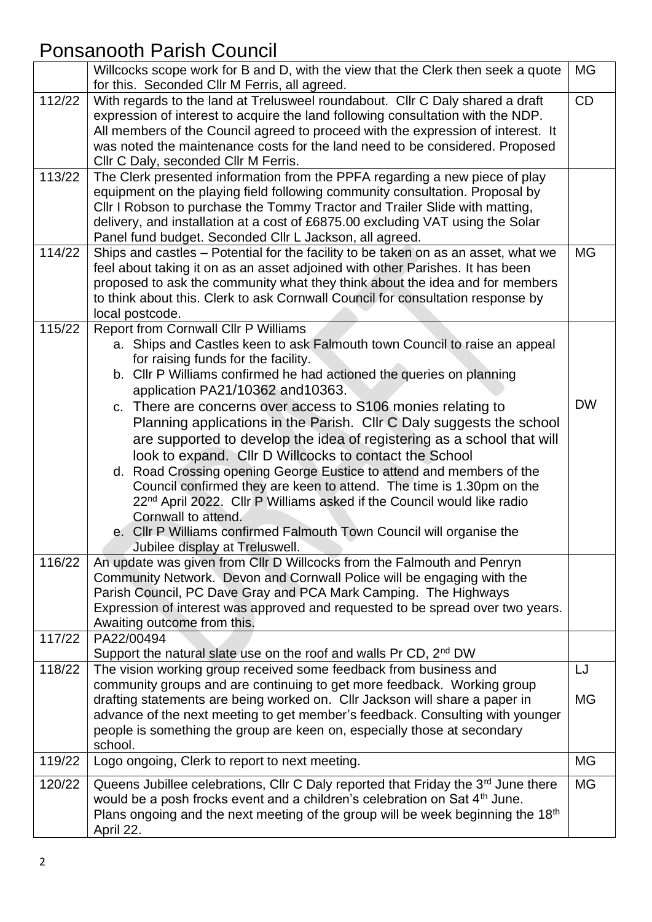## Ponsanooth Parish Council

|        | Willcocks scope work for B and D, with the view that the Clerk then seek a quote<br>for this. Seconded Cllr M Ferris, all agreed.                         | <b>MG</b> |
|--------|-----------------------------------------------------------------------------------------------------------------------------------------------------------|-----------|
| 112/22 | With regards to the land at Trelusweel roundabout. Cllr C Daly shared a draft                                                                             | CD        |
|        | expression of interest to acquire the land following consultation with the NDP.                                                                           |           |
|        | All members of the Council agreed to proceed with the expression of interest. It                                                                          |           |
|        | was noted the maintenance costs for the land need to be considered. Proposed                                                                              |           |
|        | Cllr C Daly, seconded Cllr M Ferris.                                                                                                                      |           |
| 113/22 | The Clerk presented information from the PPFA regarding a new piece of play                                                                               |           |
|        | equipment on the playing field following community consultation. Proposal by                                                                              |           |
|        | Cllr I Robson to purchase the Tommy Tractor and Trailer Slide with matting,                                                                               |           |
|        | delivery, and installation at a cost of £6875.00 excluding VAT using the Solar                                                                            |           |
|        | Panel fund budget. Seconded Cllr L Jackson, all agreed.                                                                                                   |           |
| 114/22 | Ships and castles - Potential for the facility to be taken on as an asset, what we                                                                        | <b>MG</b> |
|        | feel about taking it on as an asset adjoined with other Parishes. It has been                                                                             |           |
|        | proposed to ask the community what they think about the idea and for members                                                                              |           |
|        | to think about this. Clerk to ask Cornwall Council for consultation response by                                                                           |           |
|        | local postcode.                                                                                                                                           |           |
| 115/22 | <b>Report from Cornwall Cllr P Williams</b><br>a. Ships and Castles keen to ask Falmouth town Council to raise an appeal                                  |           |
|        | for raising funds for the facility.                                                                                                                       |           |
|        | b. Cllr P Williams confirmed he had actioned the queries on planning                                                                                      |           |
|        | application PA21/10362 and 10363.                                                                                                                         |           |
|        | c. There are concerns over access to S106 monies relating to                                                                                              | <b>DW</b> |
|        | Planning applications in the Parish. Cllr C Daly suggests the school                                                                                      |           |
|        | are supported to develop the idea of registering as a school that will                                                                                    |           |
|        | look to expand. Cllr D Willcocks to contact the School                                                                                                    |           |
|        | d. Road Crossing opening George Eustice to attend and members of the                                                                                      |           |
|        | Council confirmed they are keen to attend. The time is 1.30pm on the                                                                                      |           |
|        | 22 <sup>nd</sup> April 2022. Cllr P Williams asked if the Council would like radio                                                                        |           |
|        | Cornwall to attend.                                                                                                                                       |           |
|        | e. Cllr P Williams confirmed Falmouth Town Council will organise the                                                                                      |           |
|        | Jubilee display at Treluswell.                                                                                                                            |           |
| 116/22 | An update was given from CIIr D Willcocks from the Falmouth and Penryn                                                                                    |           |
|        | Community Network. Devon and Cornwall Police will be engaging with the                                                                                    |           |
|        | Parish Council, PC Dave Gray and PCA Mark Camping. The Highways                                                                                           |           |
|        | Expression of interest was approved and requested to be spread over two years.                                                                            |           |
|        | Awaiting outcome from this.                                                                                                                               |           |
| 117/22 | PA22/00494                                                                                                                                                |           |
|        | Support the natural slate use on the roof and walls Pr CD, 2 <sup>nd</sup> DW                                                                             |           |
| 118/22 | The vision working group received some feedback from business and                                                                                         | LJ        |
|        | community groups and are continuing to get more feedback. Working group                                                                                   |           |
|        | drafting statements are being worked on. Cllr Jackson will share a paper in                                                                               | MG        |
|        | advance of the next meeting to get member's feedback. Consulting with younger<br>people is something the group are keen on, especially those at secondary |           |
|        | school.                                                                                                                                                   |           |
| 119/22 | Logo ongoing, Clerk to report to next meeting.                                                                                                            | MG        |
| 120/22 | Queens Jubillee celebrations, Cllr C Daly reported that Friday the 3rd June there                                                                         | <b>MG</b> |
|        | would be a posh frocks event and a children's celebration on Sat 4 <sup>th</sup> June.                                                                    |           |
|        | Plans ongoing and the next meeting of the group will be week beginning the 18 <sup>th</sup>                                                               |           |
|        | April 22.                                                                                                                                                 |           |
|        |                                                                                                                                                           |           |